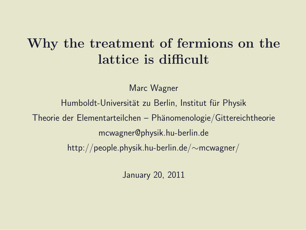#### Why the treatment of fermions on the lattice is difficult

Marc Wagner

Humboldt-Universität zu Berlin, Institut für Physik Theorie der Elementarteilchen – Phänomenologie/Gittereichtheorie mcwagner@physik.hu-berlin.de http://people.physik.hu-berlin.de/∼mcwagner/

January 20, 2011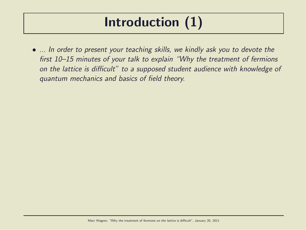### Introduction (1)

• ... In order to present your teaching skills, we kindly ask you to devote the first 10–15 minutes of your talk to explain "Why the treatment of fermions on the lattice is difficult" to a supposed student audience with knowledge of quantum mechanics and basics of field theory.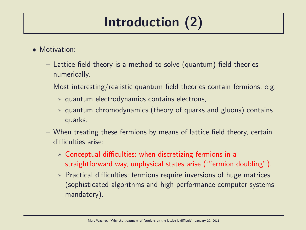# Introduction (2)

- Motivation:
	- Lattice field theory is a method to solve (quantum) field theories numerically.
	- $-$  Most interesting/realistic quantum field theories contain fermions, e.g.
		- ∗ quantum electrodynamics contains electrons,
		- ∗ quantum chromodynamics (theory of quarks and gluons) contains quarks.
	- When treating these fermions by means of lattice field theory, certain difficulties arise:
		- ∗ Conceptual difficulties: when discretizing fermions in a straightforward way, unphysical states arise ("fermion doubling").
		- ∗ Practical difficulties: fermions require inversions of huge matrices (sophisticated algorithms and high performance computer systems mandatory).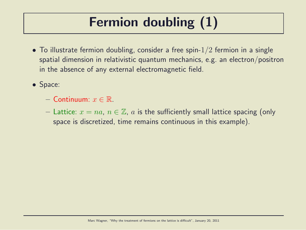# Fermion doubling (1)

- To illustrate fermion doubling, consider a free spin- $1/2$  fermion in a single spatial dimension in relativistic quantum mechanics, e.g. an electron/positron in the absence of any external electromagnetic field.
- Space:
	- $-$  Continuum:  $x \in \mathbb{R}$ .
	- Lattice:  $x = na$ ,  $n \in \mathbb{Z}$ , a is the sufficiently small lattice spacing (only space is discretized, time remains continuous in this example).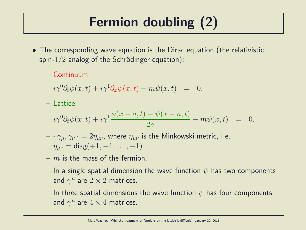# Fermion doubling (2)

- The corresponding wave equation is the Dirac equation (the relativistic spin- $1/2$  analog of the Schrödinger equation):
	- $-$  Continuum:

 $i\gamma^0\partial_t\psi(x,t) + i\gamma^1\partial_x\psi(x,t) - m\psi(x,t) = 0.$ 

– Lattice:

$$
i\gamma^{0}\partial_{t}\psi(x,t) + i\gamma^{1}\frac{\psi(x+a,t) - \psi(x-a,t)}{2a} - m\psi(x,t) = 0.
$$

- $-\{\gamma_{\mu},\gamma_{\nu}\}=2\eta_{\mu\nu}$ , where  $\eta_{\mu\nu}$  is the Minkowski metric, i.e.  $\eta_{\mu\nu} = \text{diag}(+1, -1, \dots, -1).$
- $-$  m is the mass of the fermion.
- In a single spatial dimension the wave function  $\psi$  has two components and  $\gamma^{\mu}$  are  $2\times 2$  matrices.
- $-$  In three spatial dimensions the wave function  $\psi$  has four components and  $\gamma^{\mu}$  are  $4 \times 4$  matrices.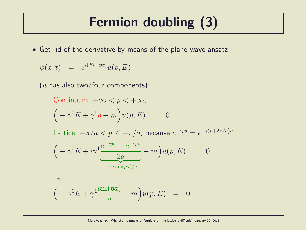### Fermion doubling (3)

• Get rid of the derivative by means of the plane wave ansatz

$$
\psi(x,t) = e^{i(Et - px)}u(p,E)
$$

 $(u$  has also two/four components):

- Continuum: 
$$
-\infty < p < +\infty
$$
,  
\n
$$
(-\gamma^{0}E + \gamma^{1}p - m)u(p, E) = 0.
$$

 $-$  Lattice:  $-\pi/a < p ≤ +\pi/a$ , because  $e^{-ipa} = e^{-i(p+2\pi/a)a}$ ,

$$
\left(-\gamma^0 E + i\gamma^1 \frac{e^{-ipa} - e^{+ipa}}{2a} - m\right) u(p, E) = 0,
$$
  

$$
= -i \sin(pa)/a
$$

i.e.

$$
(-\gamma^0 E + \gamma^1 \frac{\sin(pa)}{a} - m\Big)u(p, E) = 0.
$$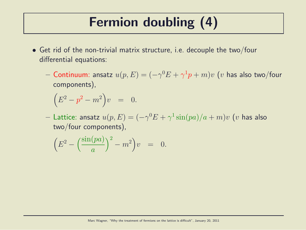### Fermion doubling (4)

- Get rid of the non-trivial matrix structure, i.e. decouple the two/four differential equations:
	- $-$  Continuum: ansatz  $u(p,E) = (-\gamma^0 E + \gamma^1 p + m) v$   $(v$  has also two/four components),

$$
(E^2 - p^2 - m^2)v = 0.
$$

 $-$  Lattice: ansatz  $u(p,E) = (-\gamma^0 E + \gamma^1 \sin (p a) / a + m) v$   $(v$  has also two/four components),

$$
\left(E^2 - \left(\frac{\sin(pa)}{a}\right)^2 - m^2\right)v = 0.
$$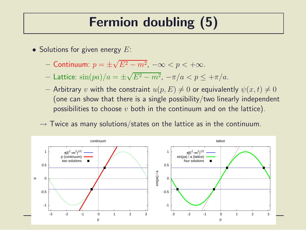#### Fermion doubling (5)

- Solutions for given energy  $E$ :
	- Continuum:  $p = \pm \sqrt{E^2 m^2}$ ,  $-\infty < p < +\infty$ .
	- Lattice:  $\sin(pa)/a = \pm \sqrt{E^2 m^2}$ ,  $-\pi/a < p \le +\pi/a$ .
	- Arbitrary v with the constraint  $u(p, E) \neq 0$  or equivalently  $\psi(x, t) \neq 0$ (one can show that there is a single possibility/two linearly independent possibilities to choose  $v$  both in the continuum and on the lattice).
	- $\rightarrow$  Twice as many solutions/states on the lattice as in the continuum.

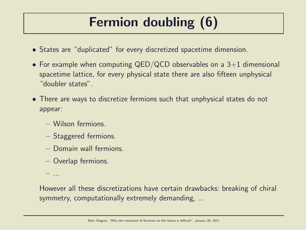# Fermion doubling (6)

- States are "duplicated" for every discretized spacetime dimension.
- For example when computing QED/QCD observables on a  $3+1$  dimensional spacetime lattice, for every physical state there are also fifteen unphysical "doubler states".
- There are ways to discretize fermions such that unphysical states do not appear:
	- Wilson fermions.
	- Staggered fermions.
	- Domain wall fermions.
	- Overlap fermions.

– ...

However all these discretizations have certain drawbacks: breaking of chiral symmetry, computationally extremely demanding, ...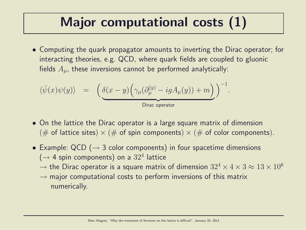### Major computational costs (1)

• Computing the quark propagator amounts to inverting the Dirac operator; for interacting theories, e.g. QCD, where quark fields are coupled to gluonic fields  $A_{\mu}$ , these inversions cannot be performed analytically:

$$
\langle \bar{\psi}(x) \psi(y) \rangle = \left( \underbrace{\delta(x-y) \Big( \gamma_{\mu} (\partial_{\mu}^{(y)} - i g A_{\mu}(y)) + m \Big)}_{\text{Dirac operator}} \right)^{-1}.
$$

- On the lattice the Dirac operator is a large square matrix of dimension (# of lattice sites)  $\times$  (# of spin components)  $\times$  (# of color components).
- Example:  $QCD$  ( $\rightarrow$  3 color components) in four spacetime dimensions  $($   $\rightarrow$  4 spin components) on a  $32^4$  lattice
	- $\rightarrow$  the Dirac operator is a square matrix of dimension  $32^4 \times 4 \times 3 \approx 13 \times 10^6$
	- $\rightarrow$  major computational costs to perform inversions of this matrix numerically.